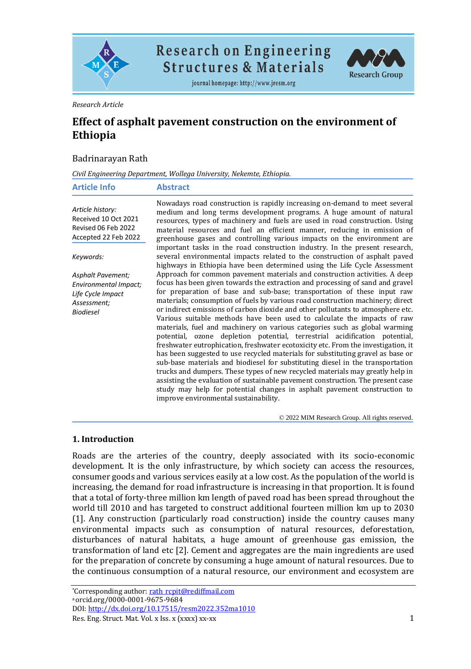

**Research on Engineering Structures & Materials** 

journal homepage: http://www.jresm.org



#### *Research Article*

# **Effect of asphalt pavement construction on the environment of Ethiopia**

#### Badrinarayan Rath

*Civil Engineering Department, Wollega University, Nekemte, Ethiopia.*

| <b>Article Info</b>                                                                                       | <b>Abstract</b>                                                                                                                                                                                                                                                                                                                                                                                                                                                                                                                                                                                                                                                                                                                                                                                                                                                                                                                                                                                                                                                                                                                                                                                       |
|-----------------------------------------------------------------------------------------------------------|-------------------------------------------------------------------------------------------------------------------------------------------------------------------------------------------------------------------------------------------------------------------------------------------------------------------------------------------------------------------------------------------------------------------------------------------------------------------------------------------------------------------------------------------------------------------------------------------------------------------------------------------------------------------------------------------------------------------------------------------------------------------------------------------------------------------------------------------------------------------------------------------------------------------------------------------------------------------------------------------------------------------------------------------------------------------------------------------------------------------------------------------------------------------------------------------------------|
| Article history:<br>Received 10 Oct 2021<br>Revised 06 Feb 2022<br>Accepted 22 Feb 2022                   | Nowadays road construction is rapidly increasing on-demand to meet several<br>medium and long terms development programs. A huge amount of natural<br>resources, types of machinery and fuels are used in road construction. Using<br>material resources and fuel an efficient manner, reducing in emission of<br>greenhouse gases and controlling various impacts on the environment are                                                                                                                                                                                                                                                                                                                                                                                                                                                                                                                                                                                                                                                                                                                                                                                                             |
| Keywords:                                                                                                 | important tasks in the road construction industry. In the present research,<br>several environmental impacts related to the construction of asphalt paved<br>highways in Ethiopia have been determined using the Life Cycle Assessment                                                                                                                                                                                                                                                                                                                                                                                                                                                                                                                                                                                                                                                                                                                                                                                                                                                                                                                                                                |
| <b>Asphalt Pavement;</b><br>Environmental Impact;<br>Life Cycle Impact<br>Assessment;<br><b>Biodiesel</b> | Approach for common pavement materials and construction activities. A deep<br>focus has been given towards the extraction and processing of sand and gravel<br>for preparation of base and sub-base; transportation of these input raw<br>materials; consumption of fuels by various road construction machinery; direct<br>or indirect emissions of carbon dioxide and other pollutants to atmosphere etc.<br>Various suitable methods have been used to calculate the impacts of raw<br>materials, fuel and machinery on various categories such as global warming<br>potential, ozone depletion potential, terrestrial acidification potential,<br>freshwater eutrophication, freshwater ecotoxicity etc. From the investigation, it<br>has been suggested to use recycled materials for substituting gravel as base or<br>sub-base materials and biodiesel for substituting diesel in the transportation<br>trucks and dumpers. These types of new recycled materials may greatly help in<br>assisting the evaluation of sustainable pavement construction. The present case<br>study may help for potential changes in asphalt pavement construction to<br>improve environmental sustainability. |

© 2022 MIM Research Group. All rights reserved.

#### **1. Introduction**

Roads are the arteries of the country, deeply associated with its socio-economic development. It is the only infrastructure, by which society can access the resources, consumer goods and various services easily at a low cost. As the population of the world is increasing, the demand for road infrastructure is increasing in that proportion. It is found that a total of forty-three million km length of paved road has been spread throughout the world till 2010 and has targeted to construct additional fourteen million km up to 2030 (1]. Any construction (particularly road construction) inside the country causes many environmental impacts such as consumption of natural resources, deforestation, disturbances of natural habitats, a huge amount of greenhouse gas emission, the transformation of land etc [2]. Cement and aggregates are the main ingredients are used for the preparation of concrete by consuming a huge amount of natural resources. Due to the continuous consumption of a natural resource, our environment and ecosystem are

\*Corresponding author: [rath\\_rcpit@rediffmail.com](mailto:rath_rcpit@rediffmail.com) <sup>a</sup>orcid.org/0000-0001-9675-9684 DOI[: http://dx.doi.org/10.17515/resm2022.352ma1010](http://dx.doi.org/10.17515/resm2022.352ma1010)

Res. Eng. Struct. Mat. Vol. x Iss. x (xxxx) xx-xx 1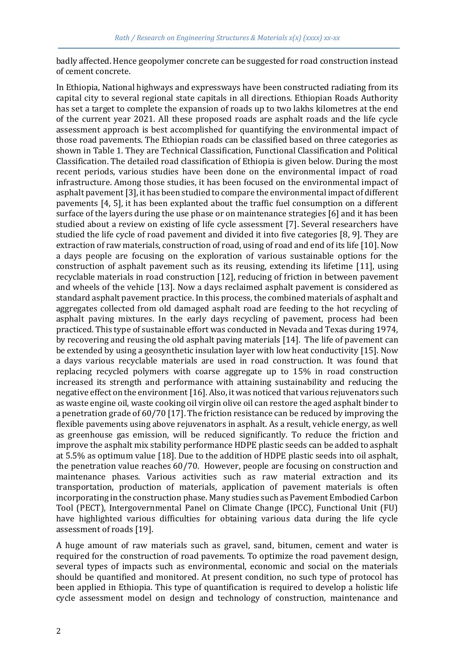badly affected. Hence geopolymer concrete can be suggested for road construction instead of cement concrete.

In Ethiopia, National highways and expressways have been constructed radiating from its capital city to several regional state capitals in all directions. Ethiopian Roads Authority has set a target to complete the expansion of roads up to two lakhs kilometres at the end of the current year 2021. All these proposed roads are asphalt roads and the life cycle assessment approach is best accomplished for quantifying the environmental impact of those road pavements. The Ethiopian roads can be classified based on three categories as shown in Table 1. They are Technical Classification, Functional Classification and Political Classification. The detailed road classification of Ethiopia is given below. During the most recent periods, various studies have been done on the environmental impact of road infrastructure. Among those studies, it has been focused on the environmental impact of asphalt pavement [3], it has been studied to compare the environmental impact of different pavements [4, 5], it has been explanted about the traffic fuel consumption on a different surface of the layers during the use phase or on maintenance strategies [6] and it has been studied about a review on existing of life cycle assessment [7]. Several researchers have studied the life cycle of road pavement and divided it into five categories [8, 9]. They are extraction of raw materials, construction of road, using of road and end of its life [10]. Now a days people are focusing on the exploration of various sustainable options for the construction of asphalt pavement such as its reusing, extending its lifetime [11], using recyclable materials in road construction [12], reducing of friction in between pavement and wheels of the vehicle [13]. Now a days reclaimed asphalt pavement is considered as standard asphalt pavement practice. In this process, the combined materials of asphalt and aggregates collected from old damaged asphalt road are feeding to the hot recycling of asphalt paving mixtures. In the early days recycling of pavement, process had been practiced. This type of sustainable effort was conducted in Nevada and Texas during 1974, by recovering and reusing the old asphalt paving materials [14]. The life of pavement can be extended by using a geosynthetic insulation layer with low heat conductivity [15]. Now a days various recyclable materials are used in road construction. It was found that replacing recycled polymers with coarse aggregate up to 15% in road construction increased its strength and performance with attaining sustainability and reducing the negative effect on the environment [16]. Also, it was noticed that various rejuvenators such as waste engine oil, waste cooking oil virgin olive oil can restore the aged asphalt binder to a penetration grade of 60/70 [17]. The friction resistance can be reduced by improving the flexible pavements using above rejuvenators in asphalt. As a result, vehicle energy, as well as greenhouse gas emission, will be reduced significantly. To reduce the friction and improve the asphalt mix stability performance HDPE plastic seeds can be added to asphalt at 5.5% as optimum value [18]. Due to the addition of HDPE plastic seeds into oil asphalt, the penetration value reaches 60/70. However, people are focusing on construction and maintenance phases. Various activities such as raw material extraction and its transportation, production of materials, application of pavement materials is often incorporating in the construction phase. Many studies such as Pavement Embodied Carbon Tool (PECT), Intergovernmental Panel on Climate Change (IPCC), Functional Unit (FU) have highlighted various difficulties for obtaining various data during the life cycle assessment of roads [19].

A huge amount of raw materials such as gravel, sand, bitumen, cement and water is required for the construction of road pavements. To optimize the road pavement design, several types of impacts such as environmental, economic and social on the materials should be quantified and monitored. At present condition, no such type of protocol has been applied in Ethiopia. This type of quantification is required to develop a holistic life cycle assessment model on design and technology of construction, maintenance and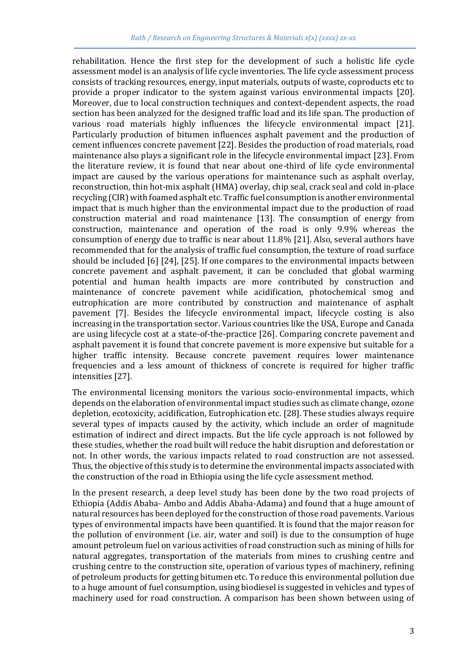rehabilitation. Hence the first step for the development of such a holistic life cycle assessment model is an analysis of life cycle inventories. The life cycle assessment process consists of tracking resources, energy, input materials, outputs of waste, coproducts etc to provide a proper indicator to the system against various environmental impacts [20]. Moreover, due to local construction techniques and context-dependent aspects, the road section has been analyzed for the designed traffic load and its life span. The production of various road materials highly influences the lifecycle environmental impact [21]. Particularly production of bitumen influences asphalt pavement and the production of cement influences concrete pavement [22]. Besides the production of road materials, road maintenance also plays a significant role in the lifecycle environmental impact [23]. From the literature review, it is found that near about one-third of life cycle environmental impact are caused by the various operations for maintenance such as asphalt overlay, reconstruction, thin hot-mix asphalt (HMA) overlay, chip seal, crack seal and cold in-place recycling (CIR) with foamed asphalt etc. Traffic fuel consumption is another environmental impact that is much higher than the environmental impact due to the production of road construction material and road maintenance [13]. The consumption of energy from construction, maintenance and operation of the road is only 9.9% whereas the consumption of energy due to traffic is near about 11.8% [21]. Also, several authors have recommended that for the analysis of traffic fuel consumption, the texture of road surface should be included [6] [24], [25]. If one compares to the environmental impacts between concrete pavement and asphalt pavement, it can be concluded that global warming potential and human health impacts are more contributed by construction and maintenance of concrete pavement while acidification, photochemical smog and eutrophication are more contributed by construction and maintenance of asphalt pavement [7]. Besides the lifecycle environmental impact, lifecycle costing is also increasing in the transportation sector. Various countries like the USA, Europe and Canada are using lifecycle cost at a state-of-the-practice [26]. Comparing concrete pavement and asphalt pavement it is found that concrete pavement is more expensive but suitable for a higher traffic intensity. Because concrete pavement requires lower maintenance frequencies and a less amount of thickness of concrete is required for higher traffic intensities [27].

The environmental licensing monitors the various socio-environmental impacts, which depends on the elaboration of environmental impact studies such as climate change, ozone depletion, ecotoxicity, acidification, Eutrophication etc. [28]. These studies always require several types of impacts caused by the activity, which include an order of magnitude estimation of indirect and direct impacts. But the life cycle approach is not followed by these studies, whether the road built will reduce the habit disruption and deforestation or not. In other words, the various impacts related to road construction are not assessed. Thus, the objective of this study is to determine the environmental impacts associated with the construction of the road in Ethiopia using the life cycle assessment method.

In the present research, a deep level study has been done by the two road projects of Ethiopia (Addis Ababa- Ambo and Addis Ababa-Adama) and found that a huge amount of natural resources has been deployed for the construction of those road pavements. Various types of environmental impacts have been quantified. It is found that the major reason for the pollution of environment (i.e. air, water and soil) is due to the consumption of huge amount petroleum fuel on various activities of road construction such as mining of hills for natural aggregates, transportation of the materials from mines to crushing centre and crushing centre to the construction site, operation of various types of machinery, refining of petroleum products for getting bitumen etc. To reduce this environmental pollution due to a huge amount of fuel consumption, using biodiesel is suggested in vehicles and types of machinery used for road construction. A comparison has been shown between using of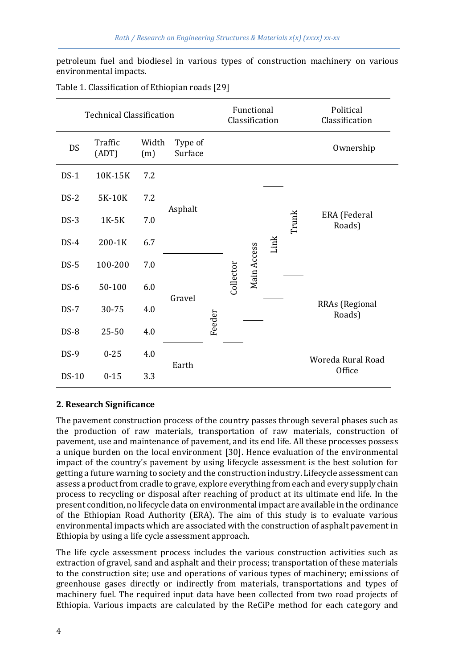petroleum fuel and biodiesel in various types of construction machinery on various environmental impacts.

| <b>Technical Classification</b> |                  |              |                    |  | Functional<br>Classification |             |  | Political<br>Classification |                        |  |  |  |  |  |  |  |  |  |  |  |  |  |  |  |  |  |  |                          |
|---------------------------------|------------------|--------------|--------------------|--|------------------------------|-------------|--|-----------------------------|------------------------|--|--|--|--|--|--|--|--|--|--|--|--|--|--|--|--|--|--|--------------------------|
| DS                              | Traffic<br>(ADT) | Width<br>(m) | Type of<br>Surface |  |                              |             |  |                             | Ownership              |  |  |  |  |  |  |  |  |  |  |  |  |  |  |  |  |  |  |                          |
| $DS-1$                          | 10K-15K          | 7.2          |                    |  |                              |             |  |                             |                        |  |  |  |  |  |  |  |  |  |  |  |  |  |  |  |  |  |  |                          |
| $DS-2$                          | 5K-10K           | 7.2          |                    |  |                              |             |  |                             |                        |  |  |  |  |  |  |  |  |  |  |  |  |  |  |  |  |  |  |                          |
| $DS-3$                          | 1K-5K            | 7.0          | Asphalt            |  |                              |             |  | Trunk                       | ERA (Federal<br>Roads) |  |  |  |  |  |  |  |  |  |  |  |  |  |  |  |  |  |  |                          |
| $DS-4$                          | 200-1K           | 6.7          |                    |  |                              | Link        |  |                             |                        |  |  |  |  |  |  |  |  |  |  |  |  |  |  |  |  |  |  |                          |
| $DS-5$                          | 100-200          | 7.0          |                    |  |                              | Main Access |  |                             |                        |  |  |  |  |  |  |  |  |  |  |  |  |  |  |  |  |  |  |                          |
| $DS-6$                          | 50-100           | 6.0          |                    |  | Collector                    |             |  |                             |                        |  |  |  |  |  |  |  |  |  |  |  |  |  |  |  |  |  |  |                          |
| $DS-7$                          | 30-75            | 4.0          | Gravel             |  |                              |             |  |                             |                        |  |  |  |  |  |  |  |  |  |  |  |  |  |  |  |  |  |  | RRAs (Regional<br>Roads) |
| DS-8                            | 25-50            | 4.0          | Feeder             |  |                              |             |  |                             |                        |  |  |  |  |  |  |  |  |  |  |  |  |  |  |  |  |  |  |                          |
| $DS-9$                          | $0 - 25$         | 4.0          |                    |  |                              |             |  |                             | Woreda Rural Road      |  |  |  |  |  |  |  |  |  |  |  |  |  |  |  |  |  |  |                          |
| <b>DS-10</b>                    | $0 - 15$         | 3.3          | Earth              |  |                              |             |  |                             | Office                 |  |  |  |  |  |  |  |  |  |  |  |  |  |  |  |  |  |  |                          |

Table 1. Classification of Ethiopian roads [29]

#### **2. Research Significance**

The pavement construction process of the country passes through several phases such as the production of raw materials, transportation of raw materials, construction of pavement, use and maintenance of pavement, and its end life. All these processes possess a unique burden on the local environment [30]. Hence evaluation of the environmental impact of the country's pavement by using lifecycle assessment is the best solution for getting a future warning to society and the construction industry. Lifecycle assessment can assess a product from cradle to grave, explore everything from each and every supply chain process to recycling or disposal after reaching of product at its ultimate end life. In the present condition, no lifecycle data on environmental impact are available in the ordinance of the Ethiopian Road Authority (ERA). The aim of this study is to evaluate various environmental impacts which are associated with the construction of asphalt pavement in Ethiopia by using a life cycle assessment approach.

The life cycle assessment process includes the various construction activities such as extraction of gravel, sand and asphalt and their process; transportation of these materials to the construction site; use and operations of various types of machinery; emissions of greenhouse gases directly or indirectly from materials, transportations and types of machinery fuel. The required input data have been collected from two road projects of Ethiopia. Various impacts are calculated by the ReCiPe method for each category and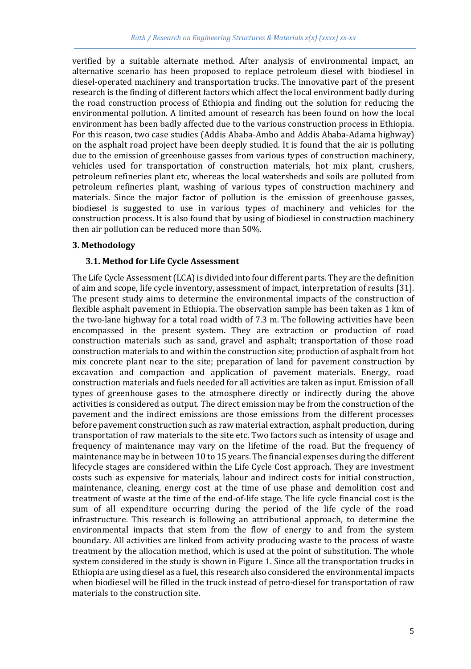verified by a suitable alternate method. After analysis of environmental impact, an alternative scenario has been proposed to replace petroleum diesel with biodiesel in diesel-operated machinery and transportation trucks. The innovative part of the present research is the finding of different factors which affect the local environment badly during the road construction process of Ethiopia and finding out the solution for reducing the environmental pollution. A limited amount of research has been found on how the local environment has been badly affected due to the various construction process in Ethiopia. For this reason, two case studies (Addis Ababa-Ambo and Addis Ababa-Adama highway) on the asphalt road project have been deeply studied. It is found that the air is polluting due to the emission of greenhouse gasses from various types of construction machinery, vehicles used for transportation of construction materials, hot mix plant, crushers, petroleum refineries plant etc, whereas the local watersheds and soils are polluted from petroleum refineries plant, washing of various types of construction machinery and materials. Since the major factor of pollution is the emission of greenhouse gasses, biodiesel is suggested to use in various types of machinery and vehicles for the construction process. It is also found that by using of biodiesel in construction machinery then air pollution can be reduced more than 50%.

#### **3. Methodology**

# **3.1. Method for Life Cycle Assessment**

The Life Cycle Assessment (LCA) is divided into four different parts. They are the definition of aim and scope, life cycle inventory, assessment of impact, interpretation of results [31]. The present study aims to determine the environmental impacts of the construction of flexible asphalt pavement in Ethiopia. The observation sample has been taken as 1 km of the two-lane highway for a total road width of 7.3 m. The following activities have been encompassed in the present system. They are extraction or production of road construction materials such as sand, gravel and asphalt; transportation of those road construction materials to and within the construction site; production of asphalt from hot mix concrete plant near to the site; preparation of land for pavement construction by excavation and compaction and application of pavement materials. Energy, road construction materials and fuels needed for all activities are taken as input. Emission of all types of greenhouse gases to the atmosphere directly or indirectly during the above activities is considered as output. The direct emission may be from the construction of the pavement and the indirect emissions are those emissions from the different processes before pavement construction such as raw material extraction, asphalt production, during transportation of raw materials to the site etc. Two factors such as intensity of usage and frequency of maintenance may vary on the lifetime of the road. But the frequency of maintenance may be in between 10 to 15 years. The financial expenses during the different lifecycle stages are considered within the Life Cycle Cost approach. They are investment costs such as expensive for materials, labour and indirect costs for initial construction, maintenance, cleaning, energy cost at the time of use phase and demolition cost and treatment of waste at the time of the end-of-life stage. The life cycle financial cost is the sum of all expenditure occurring during the period of the life cycle of the road infrastructure. This research is following an attributional approach, to determine the environmental impacts that stem from the flow of energy to and from the system boundary. All activities are linked from activity producing waste to the process of waste treatment by the allocation method, which is used at the point of substitution. The whole system considered in the study is shown in Figure 1. Since all the transportation trucks in Ethiopia are using diesel as a fuel, this research also considered the environmental impacts when biodiesel will be filled in the truck instead of petro-diesel for transportation of raw materials to the construction site.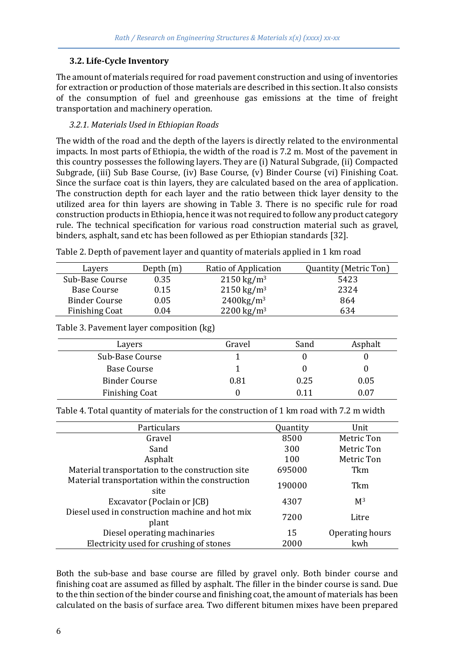# **3.2. Life-Cycle Inventory**

The amount of materials required for road pavement construction and using of inventories for extraction or production of those materials are described in this section. It also consists of the consumption of fuel and greenhouse gas emissions at the time of freight transportation and machinery operation.

# *3.2.1. Materials Used in Ethiopian Roads*

The width of the road and the depth of the layers is directly related to the environmental impacts. In most parts of Ethiopia, the width of the road is 7.2 m. Most of the pavement in this country possesses the following layers. They are (i) Natural Subgrade, (ii) Compacted Subgrade, (iii) Sub Base Course, (iv) Base Course, (v) Binder Course (vi) Finishing Coat. Since the surface coat is thin layers, they are calculated based on the area of application. The construction depth for each layer and the ratio between thick layer density to the utilized area for thin layers are showing in Table 3. There is no specific rule for road construction products in Ethiopia, hence it was not required to follow any product category rule. The technical specification for various road construction material such as gravel, binders, asphalt, sand etc has been followed as per Ethiopian standards [32].

| Lavers                | Depth $(m)$ | Ratio of Application   | <b>Quantity (Metric Ton)</b> |
|-----------------------|-------------|------------------------|------------------------------|
| Sub-Base Course       | 0.35        | $2150 \text{ kg/m}^3$  | 5423                         |
| Base Course           | 0.15        | $2150 \text{ kg/m}^3$  | 2324                         |
| <b>Binder Course</b>  | 0.05        | $2400\text{kg/m}^3$    | 864                          |
| <b>Finishing Coat</b> | 0.04        | 2200 kg/m <sup>3</sup> | 634                          |

Table 2. Depth of pavement layer and quantity of materials applied in 1 km road

|  | Table 3. Pavement layer composition (kg) |  |
|--|------------------------------------------|--|
|  |                                          |  |
|  |                                          |  |

| Lavers                | Gravel | Sand | Asphalt |
|-----------------------|--------|------|---------|
| Sub-Base Course       |        |      |         |
| Base Course           |        |      |         |
| <b>Binder Course</b>  | 0.81   | 0.25 | 0.05    |
| <b>Finishing Coat</b> |        | 0.11 | 0.07    |

Table 4. Total quantity of materials for the construction of 1 km road with 7.2 m width

| Particulars                                              | <b>Ouantity</b> | Unit            |
|----------------------------------------------------------|-----------------|-----------------|
| Gravel                                                   | 8500            | Metric Ton      |
| Sand                                                     | 300             | Metric Ton      |
| Asphalt                                                  | 100             | Metric Ton      |
| Material transportation to the construction site         | 695000          | Tkm             |
| Material transportation within the construction<br>site  | 190000          | Tkm             |
| Excavator (Poclain or JCB)                               | 4307            | M <sup>3</sup>  |
| Diesel used in construction machine and hot mix<br>plant | 7200            | Litre           |
| Diesel operating machinaries                             | 15              | Operating hours |
| Electricity used for crushing of stones                  | 2000            | kwh             |

Both the sub-base and base course are filled by gravel only. Both binder course and finishing coat are assumed as filled by asphalt. The filler in the binder course is sand. Due to the thin section of the binder course and finishing coat, the amount of materials has been calculated on the basis of surface area. Two different bitumen mixes have been prepared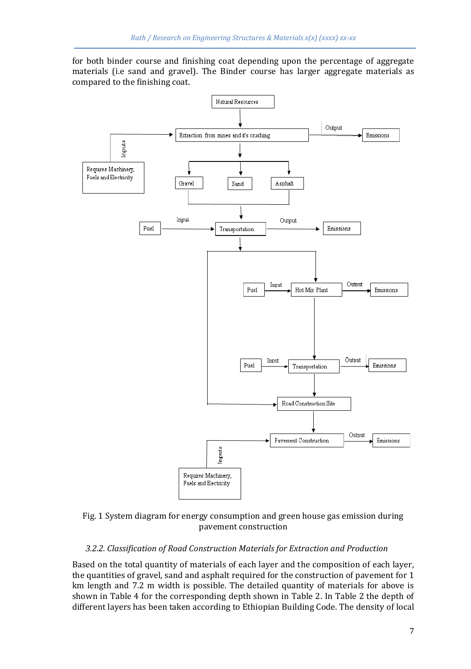for both binder course and finishing coat depending upon the percentage of aggregate materials (i.e sand and gravel). The Binder course has larger aggregate materials as compared to the finishing coat.



Fig. 1 System diagram for energy consumption and green house gas emission during pavement construction

### *3.2.2. Classification of Road Construction Materials for Extraction and Production*

Based on the total quantity of materials of each layer and the composition of each layer, the quantities of gravel, sand and asphalt required for the construction of pavement for 1 km length and 7.2 m width is possible. The detailed quantity of materials for above is shown in Table 4 for the corresponding depth shown in Table 2. In Table 2 the depth of different layers has been taken according to Ethiopian Building Code. The density of local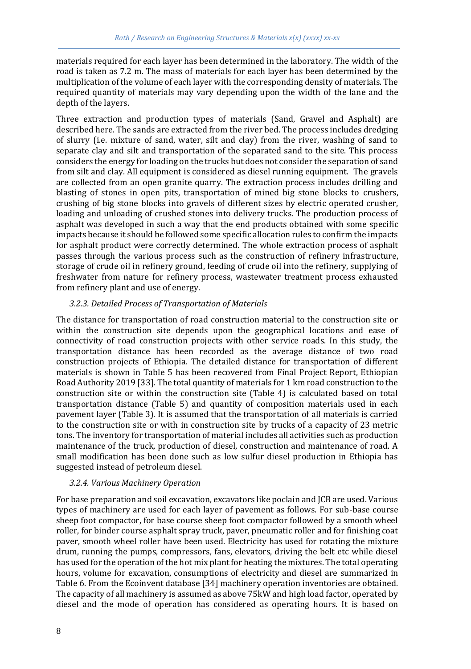materials required for each layer has been determined in the laboratory. The width of the road is taken as 7.2 m. The mass of materials for each layer has been determined by the multiplication of the volume of each layer with the corresponding density of materials. The required quantity of materials may vary depending upon the width of the lane and the depth of the layers.

Three extraction and production types of materials (Sand, Gravel and Asphalt) are described here. The sands are extracted from the river bed. The process includes dredging of slurry (i.e. mixture of sand, water, silt and clay) from the river, washing of sand to separate clay and silt and transportation of the separated sand to the site. This process considers the energy for loading on the trucks but does not consider the separation of sand from silt and clay. All equipment is considered as diesel running equipment. The gravels are collected from an open granite quarry. The extraction process includes drilling and blasting of stones in open pits, transportation of mined big stone blocks to crushers, crushing of big stone blocks into gravels of different sizes by electric operated crusher, loading and unloading of crushed stones into delivery trucks. The production process of asphalt was developed in such a way that the end products obtained with some specific impacts because it should be followed some specific allocation rules to confirm the impacts for asphalt product were correctly determined. The whole extraction process of asphalt passes through the various process such as the construction of refinery infrastructure, storage of crude oil in refinery ground, feeding of crude oil into the refinery, supplying of freshwater from nature for refinery process, wastewater treatment process exhausted from refinery plant and use of energy.

### *3.2.3. Detailed Process of Transportation of Materials*

The distance for transportation of road construction material to the construction site or within the construction site depends upon the geographical locations and ease of connectivity of road construction projects with other service roads. In this study, the transportation distance has been recorded as the average distance of two road construction projects of Ethiopia. The detailed distance for transportation of different materials is shown in Table 5 has been recovered from Final Project Report, Ethiopian Road Authority 2019 [33]. The total quantity of materials for 1 km road construction to the construction site or within the construction site (Table 4) is calculated based on total transportation distance (Table 5) and quantity of composition materials used in each pavement layer (Table 3). It is assumed that the transportation of all materials is carried to the construction site or with in construction site by trucks of a capacity of 23 metric tons. The inventory for transportation of material includes all activities such as production maintenance of the truck, production of diesel, construction and maintenance of road. A small modification has been done such as low sulfur diesel production in Ethiopia has suggested instead of petroleum diesel.

### *3.2.4. Various Machinery Operation*

For base preparation and soil excavation, excavators like poclain and JCB are used. Various types of machinery are used for each layer of pavement as follows. For sub-base course sheep foot compactor, for base course sheep foot compactor followed by a smooth wheel roller, for binder course asphalt spray truck, paver, pneumatic roller and for finishing coat paver, smooth wheel roller have been used. Electricity has used for rotating the mixture drum, running the pumps, compressors, fans, elevators, driving the belt etc while diesel has used for the operation of the hot mix plant for heating the mixtures. The total operating hours, volume for excavation, consumptions of electricity and diesel are summarized in Table 6. From the Ecoinvent database [34] machinery operation inventories are obtained. The capacity of all machinery is assumed as above 75kW and high load factor, operated by diesel and the mode of operation has considered as operating hours. It is based on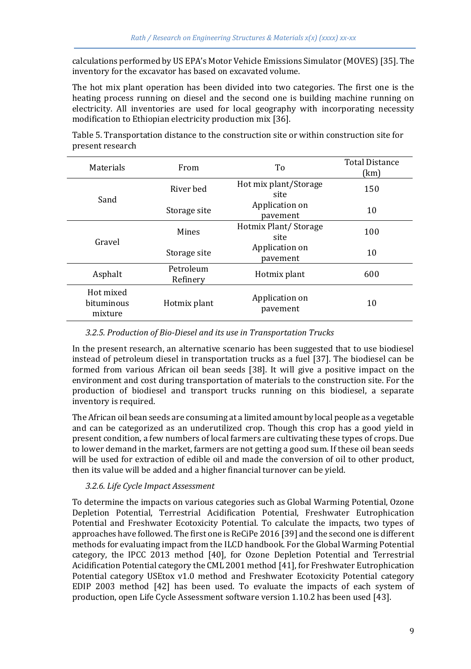calculations performed by US EPA's Motor Vehicle Emissions Simulator (MOVES) [35]. The inventory for the excavator has based on excavated volume.

The hot mix plant operation has been divided into two categories. The first one is the heating process running on diesel and the second one is building machine running on electricity. All inventories are used for local geography with incorporating necessity modification to Ethiopian electricity production mix [36].

| <b>Materials</b>                   | From                  | To                            | <b>Total Distance</b><br>(km) |
|------------------------------------|-----------------------|-------------------------------|-------------------------------|
|                                    | River bed             | Hot mix plant/Storage<br>site |                               |
| Sand                               | Storage site          | Application on<br>pavement    | 10                            |
| Gravel                             | Mines                 | Hotmix Plant/Storage<br>site  | 100                           |
|                                    | Storage site          | Application on<br>pavement    | 10                            |
| Asphalt                            | Petroleum<br>Refinery | Hotmix plant                  | 600                           |
| Hot mixed<br>bituminous<br>mixture | Hotmix plant          | Application on<br>pavement    | 10                            |

Table 5. Transportation distance to the construction site or within construction site for present research

#### *3.2.5. Production of Bio-Diesel and its use in Transportation Trucks*

In the present research, an alternative scenario has been suggested that to use biodiesel instead of petroleum diesel in transportation trucks as a fuel [37]. The biodiesel can be formed from various African oil bean seeds [38]. It will give a positive impact on the environment and cost during transportation of materials to the construction site. For the production of biodiesel and transport trucks running on this biodiesel, a separate inventory is required.

The African oil bean seeds are consuming at a limited amount by local people as a vegetable and can be categorized as an underutilized crop. Though this crop has a good yield in present condition, a few numbers of local farmers are cultivating these types of crops. Due to lower demand in the market, farmers are not getting a good sum. If these oil bean seeds will be used for extraction of edible oil and made the conversion of oil to other product, then its value will be added and a higher financial turnover can be yield.

#### *3.2.6. Life Cycle Impact Assessment*

To determine the impacts on various categories such as Global Warming Potential, Ozone Depletion Potential, Terrestrial Acidification Potential, Freshwater Eutrophication Potential and Freshwater Ecotoxicity Potential. To calculate the impacts, two types of approaches have followed. The first one is ReCiPe 2016 [39] and the second one is different methods for evaluating impact from the ILCD handbook. For the Global Warming Potential category, the IPCC 2013 method [40], for Ozone Depletion Potential and Terrestrial Acidification Potential category the CML 2001 method [41], for Freshwater Eutrophication Potential category USEtox v1.0 method and Freshwater Ecotoxicity Potential category EDIP 2003 method [42] has been used. To evaluate the impacts of each system of production, open Life Cycle Assessment software version 1.10.2 has been used [43].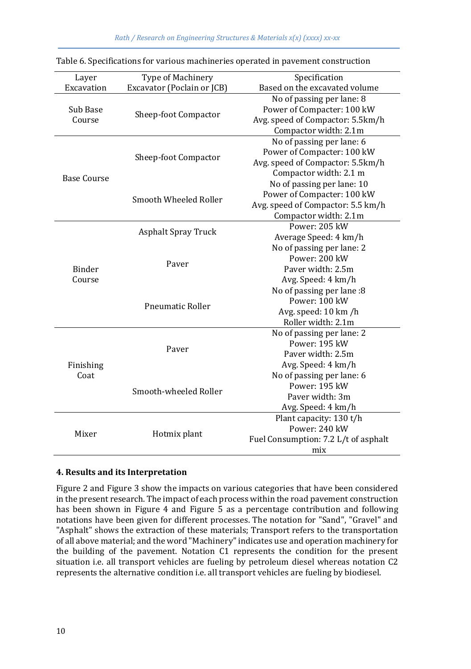| Layer              | Type of Machinery          | Specification                        |  |  |
|--------------------|----------------------------|--------------------------------------|--|--|
| Excavation         | Excavator (Poclain or JCB) | Based on the excavated volume        |  |  |
|                    |                            | No of passing per lane: 8            |  |  |
| Sub Base           | Sheep-foot Compactor       | Power of Compacter: 100 kW           |  |  |
| Course             |                            | Avg. speed of Compactor: 5.5km/h     |  |  |
|                    |                            | Compactor width: 2.1m                |  |  |
|                    |                            | No of passing per lane: 6            |  |  |
|                    | Sheep-foot Compactor       | Power of Compacter: 100 kW           |  |  |
|                    |                            | Avg. speed of Compactor: 5.5km/h     |  |  |
|                    |                            | Compactor width: 2.1 m               |  |  |
| <b>Base Course</b> |                            | No of passing per lane: 10           |  |  |
|                    |                            | Power of Compacter: 100 kW           |  |  |
|                    | Smooth Wheeled Roller      | Avg. speed of Compactor: 5.5 km/h    |  |  |
|                    |                            | Compactor width: 2.1m                |  |  |
|                    |                            | Power: 205 kW                        |  |  |
|                    | <b>Asphalt Spray Truck</b> | Average Speed: 4 km/h                |  |  |
|                    |                            | No of passing per lane: 2            |  |  |
|                    |                            | Power: 200 kW                        |  |  |
| <b>Binder</b>      | Paver                      | Paver width: 2.5m                    |  |  |
| Course             |                            | Avg. Speed: 4 km/h                   |  |  |
|                    |                            | No of passing per lane :8            |  |  |
|                    |                            | Power: 100 kW                        |  |  |
|                    | <b>Pneumatic Roller</b>    | Avg. speed: 10 km /h                 |  |  |
|                    |                            | Roller width: 2.1m                   |  |  |
|                    |                            | No of passing per lane: 2            |  |  |
|                    |                            | Power: 195 kW                        |  |  |
|                    | Paver                      | Paver width: 2.5m                    |  |  |
| Finishing          |                            | Avg. Speed: 4 km/h                   |  |  |
| Coat               |                            | No of passing per lane: 6            |  |  |
|                    |                            | Power: 195 kW                        |  |  |
|                    | Smooth-wheeled Roller      | Paver width: 3m                      |  |  |
|                    |                            | Avg. Speed: 4 km/h                   |  |  |
|                    |                            | Plant capacity: 130 t/h              |  |  |
|                    |                            | Power: 240 kW                        |  |  |
| Mixer              | Hotmix plant               | Fuel Consumption: 7.2 L/t of asphalt |  |  |
|                    |                            | mix                                  |  |  |
|                    |                            |                                      |  |  |

|  | Table 6. Specifications for various machineries operated in pavement construction |  |  |
|--|-----------------------------------------------------------------------------------|--|--|
|  |                                                                                   |  |  |

#### **4. Results and its Interpretation**

Figure 2 and Figure 3 show the impacts on various categories that have been considered in the present research. The impact of each process within the road pavement construction has been shown in Figure 4 and Figure 5 as a percentage contribution and following notations have been given for different processes. The notation for "Sand", "Gravel" and "Asphalt" shows the extraction of these materials; Transport refers to the transportation of all above material; and the word "Machinery" indicates use and operation machinery for the building of the pavement. Notation C1 represents the condition for the present situation i.e. all transport vehicles are fueling by petroleum diesel whereas notation C2 represents the alternative condition i.e. all transport vehicles are fueling by biodiesel.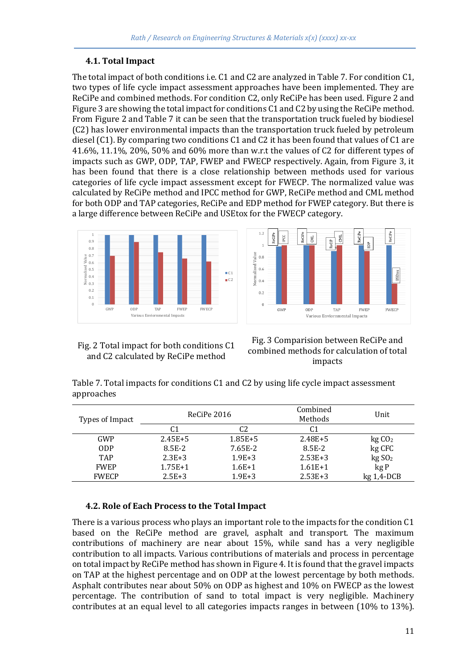# **4.1. Total Impact**

The total impact of both conditions i.e. C1 and C2 are analyzed in Table 7. For condition C1, two types of life cycle impact assessment approaches have been implemented. They are ReCiPe and combined methods. For condition C2, only ReCiPe has been used. Figure 2 and Figure 3 are showing the total impact for conditions C1 and C2 by using the ReCiPe method. From Figure 2 and Table 7 it can be seen that the transportation truck fueled by biodiesel (C2) has lower environmental impacts than the transportation truck fueled by petroleum diesel (C1). By comparing two conditions C1 and C2 it has been found that values of C1 are 41.6%, 11.1%, 20%, 50% and 60% more than w.r.t the values of C2 for different types of impacts such as GWP, ODP, TAP, FWEP and FWECP respectively. Again, from Figure 3, it has been found that there is a close relationship between methods used for various categories of life cycle impact assessment except for FWECP. The normalized value was calculated by ReCiPe method and IPCC method for GWP, ReCiPe method and CML method for both ODP and TAP categories, ReCiPe and EDP method for FWEP category. But there is a large difference between ReCiPe and USEtox for the FWECP category.





Fig. 2 Total impact for both conditions C1 and C2 calculated by ReCiPe method

Fig. 3 Comparision between ReCiPe and combined methods for calculation of total impacts

Table 7. Total impacts for conditions C1 and C2 by using life cycle impact assessment approaches

| Types of Impact |             | ReCiPe 2016 |             | Unit              |
|-----------------|-------------|-------------|-------------|-------------------|
|                 | C1          | C2          | C1          |                   |
| GWP             | $2.45E + 5$ | $1.85E + 5$ | $2.48E + 5$ | kgCO <sub>2</sub> |
| <b>ODP</b>      | 8.5E-2      | 7.65E-2     | 8.5E-2      | kg CFC            |
| <b>TAP</b>      | $2.3E + 3$  | $1.9E + 3$  | $2.53E+3$   | kgSO <sub>2</sub> |
| <b>FWEP</b>     | $1.75E+1$   | $1.6E+1$    | $1.61E+1$   | kg P              |
| <b>FWECP</b>    | $2.5E + 3$  | $1.9E + 3$  | $2.53E + 3$ | $kg1,4-DCB$       |

### **4.2. Role of Each Process to the Total Impact**

There is a various process who plays an important role to the impacts for the condition C1 based on the ReCiPe method are gravel, asphalt and transport. The maximum contributions of machinery are near about 15%, while sand has a very negligible contribution to all impacts. Various contributions of materials and process in percentage on total impact by ReCiPe method has shown in Figure 4. It is found that the gravel impacts on TAP at the highest percentage and on ODP at the lowest percentage by both methods. Asphalt contributes near about 50% on ODP as highest and 10% on FWECP as the lowest percentage. The contribution of sand to total impact is very negligible. Machinery contributes at an equal level to all categories impacts ranges in between (10% to 13%).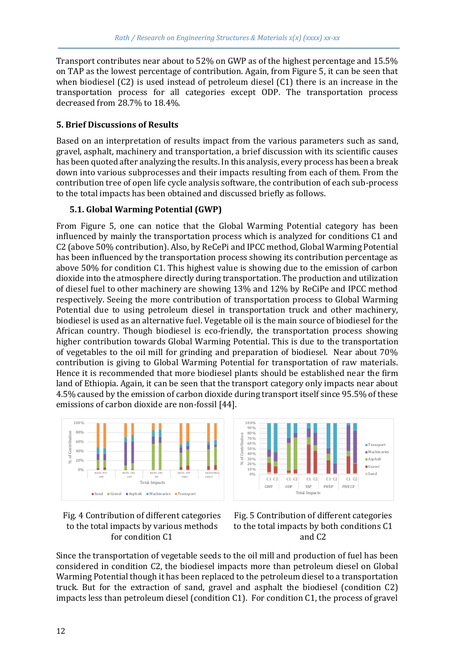Transport contributes near about to 52% on GWP as of the highest percentage and 15.5% on TAP as the lowest percentage of contribution. Again, from Figure 5, it can be seen that when biodiesel (C2) is used instead of petroleum diesel (C1) there is an increase in the transportation process for all categories except ODP. The transportation process decreased from 28.7% to 18.4%.

### **5. Brief Discussions of Results**

Based on an interpretation of results impact from the various parameters such as sand, gravel, asphalt, machinery and transportation, a brief discussion with its scientific causes has been quoted after analyzing the results. In this analysis, every process has been a break down into various subprocesses and their impacts resulting from each of them. From the contribution tree of open life cycle analysis software, the contribution of each sub-process to the total impacts has been obtained and discussed briefly as follows.

# **5.1. Global Warming Potential (GWP)**

From Figure 5, one can notice that the Global Warming Potential category has been influenced by mainly the transportation process which is analyzed for conditions C1 and C2 (above 50% contribution). Also, by ReCePi and IPCC method, Global Warming Potential has been influenced by the transportation process showing its contribution percentage as above 50% for condition C1. This highest value is showing due to the emission of carbon dioxide into the atmosphere directly during transportation. The production and utilization of diesel fuel to other machinery are showing 13% and 12% by ReCiPe and IPCC method respectively. Seeing the more contribution of transportation process to Global Warming Potential due to using petroleum diesel in transportation truck and other machinery, biodiesel is used as an alternative fuel. Vegetable oil is the main source of biodiesel for the African country. Though biodiesel is eco-friendly, the transportation process showing higher contribution towards Global Warming Potential. This is due to the transportation of vegetables to the oil mill for grinding and preparation of biodiesel. Near about 70% contribution is giving to Global Warming Potential for transportation of raw materials. Hence it is recommended that more biodiesel plants should be established near the firm land of Ethiopia. Again, it can be seen that the transport category only impacts near about 4.5% caused by the emission of carbon dioxide during transport itself since 95.5% of these emissions of carbon dioxide are non-fossil [44].









Since the transportation of vegetable seeds to the oil mill and production of fuel has been considered in condition C2, the biodiesel impacts more than petroleum diesel on Global Warming Potential though it has been replaced to the petroleum diesel to a transportation truck. But for the extraction of sand, gravel and asphalt the biodiesel (condition C2) impacts less than petroleum diesel (condition C1). For condition C1, the process of gravel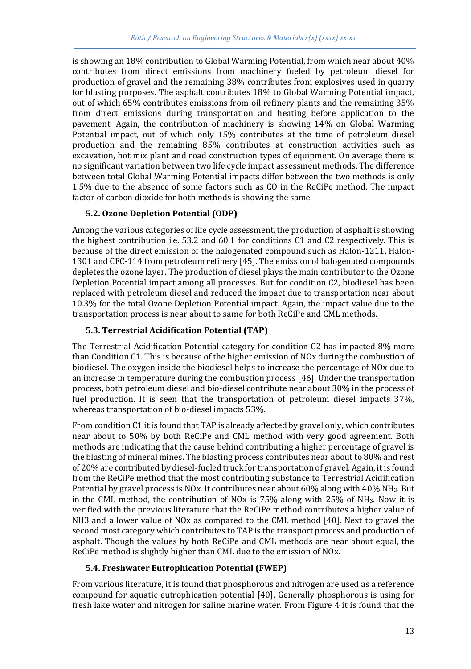is showing an 18% contribution to Global Warming Potential, from which near about 40% contributes from direct emissions from machinery fueled by petroleum diesel for production of gravel and the remaining 38% contributes from explosives used in quarry for blasting purposes. The asphalt contributes 18% to Global Warming Potential impact, out of which 65% contributes emissions from oil refinery plants and the remaining 35% from direct emissions during transportation and heating before application to the pavement. Again, the contribution of machinery is showing 14% on Global Warming Potential impact, out of which only 15% contributes at the time of petroleum diesel production and the remaining 85% contributes at construction activities such as excavation, hot mix plant and road construction types of equipment. On average there is no significant variation between two life cycle impact assessment methods. The difference between total Global Warming Potential impacts differ between the two methods is only 1.5% due to the absence of some factors such as CO in the ReCiPe method. The impact factor of carbon dioxide for both methods is showing the same.

# **5.2. Ozone Depletion Potential (ODP)**

Among the various categories of life cycle assessment, the production of asphalt is showing the highest contribution i.e. 53.2 and 60.1 for conditions C1 and C2 respectively. This is because of the direct emission of the halogenated compound such as Halon-1211, Halon-1301 and CFC-114 from petroleum refinery [45]. The emission of halogenated compounds depletes the ozone layer. The production of diesel plays the main contributor to the Ozone Depletion Potential impact among all processes. But for condition C2, biodiesel has been replaced with petroleum diesel and reduced the impact due to transportation near about 10.3% for the total Ozone Depletion Potential impact. Again, the impact value due to the transportation process is near about to same for both ReCiPe and CML methods.

# **5.3. Terrestrial Acidification Potential (TAP)**

The Terrestrial Acidification Potential category for condition C2 has impacted 8% more than Condition C1. This is because of the higher emission of NOx during the combustion of biodiesel. The oxygen inside the biodiesel helps to increase the percentage of NOx due to an increase in temperature during the combustion process [46]. Under the transportation process, both petroleum diesel and bio-diesel contribute near about 30% in the process of fuel production. It is seen that the transportation of petroleum diesel impacts 37%, whereas transportation of bio-diesel impacts 53%.

From condition C1 it is found that TAP is already affected by gravel only, which contributes near about to 50% by both ReCiPe and CML method with very good agreement. Both methods are indicating that the cause behind contributing a higher percentage of gravel is the blasting of mineral mines. The blasting process contributes near about to 80% and rest of 20% are contributed by diesel-fueled truck for transportation of gravel. Again, it is found from the ReCiPe method that the most contributing substance to Terrestrial Acidification Potential by gravel process is NOx. It contributes near about 60% along with 40% NH3. But in the CML method, the contribution of NOx is 75% along with 25% of NH3. Now it is verified with the previous literature that the ReCiPe method contributes a higher value of NH3 and a lower value of NOx as compared to the CML method [40]. Next to gravel the second most category which contributes to TAP is the transport process and production of asphalt. Though the values by both ReCiPe and CML methods are near about equal, the ReCiPe method is slightly higher than CML due to the emission of NOx.

### **5.4. Freshwater Eutrophication Potential (FWEP)**

From various literature, it is found that phosphorous and nitrogen are used as a reference compound for aquatic eutrophication potential [40]. Generally phosphorous is using for fresh lake water and nitrogen for saline marine water. From Figure 4 it is found that the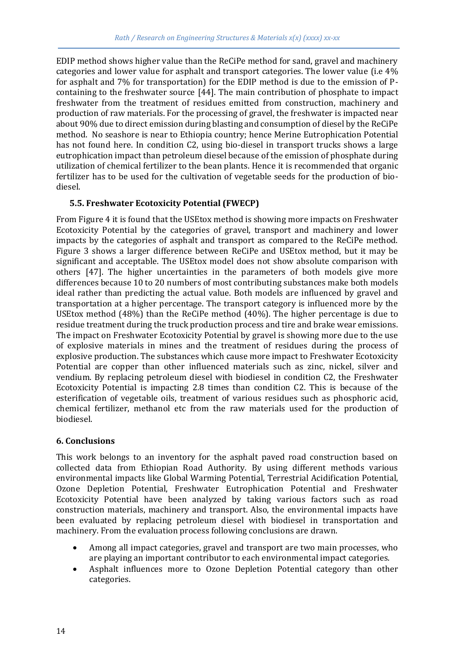EDIP method shows higher value than the ReCiPe method for sand, gravel and machinery categories and lower value for asphalt and transport categories. The lower value (i.e 4% for asphalt and 7% for transportation) for the EDIP method is due to the emission of Pcontaining to the freshwater source [44]. The main contribution of phosphate to impact freshwater from the treatment of residues emitted from construction, machinery and production of raw materials. For the processing of gravel, the freshwater is impacted near about 90% due to direct emission during blasting and consumption of diesel by the ReCiPe method. No seashore is near to Ethiopia country; hence Merine Eutrophication Potential has not found here. In condition C2, using bio-diesel in transport trucks shows a large eutrophication impact than petroleum diesel because of the emission of phosphate during utilization of chemical fertilizer to the bean plants. Hence it is recommended that organic fertilizer has to be used for the cultivation of vegetable seeds for the production of biodiesel.

# **5.5. Freshwater Ecotoxicity Potential (FWECP)**

From Figure 4 it is found that the USEtox method is showing more impacts on Freshwater Ecotoxicity Potential by the categories of gravel, transport and machinery and lower impacts by the categories of asphalt and transport as compared to the ReCiPe method. Figure 3 shows a larger difference between ReCiPe and USEtox method, but it may be significant and acceptable. The USEtox model does not show absolute comparison with others [47]. The higher uncertainties in the parameters of both models give more differences because 10 to 20 numbers of most contributing substances make both models ideal rather than predicting the actual value. Both models are influenced by gravel and transportation at a higher percentage. The transport category is influenced more by the USEtox method (48%) than the ReCiPe method (40%). The higher percentage is due to residue treatment during the truck production process and tire and brake wear emissions. The impact on Freshwater Ecotoxicity Potential by gravel is showing more due to the use of explosive materials in mines and the treatment of residues during the process of explosive production. The substances which cause more impact to Freshwater Ecotoxicity Potential are copper than other influenced materials such as zinc, nickel, silver and vendium. By replacing petroleum diesel with biodiesel in condition C2, the Freshwater Ecotoxicity Potential is impacting 2.8 times than condition C2. This is because of the esterification of vegetable oils, treatment of various residues such as phosphoric acid, chemical fertilizer, methanol etc from the raw materials used for the production of biodiesel.

### **6. Conclusions**

This work belongs to an inventory for the asphalt paved road construction based on collected data from Ethiopian Road Authority. By using different methods various environmental impacts like Global Warming Potential, Terrestrial Acidification Potential, Ozone Depletion Potential, Freshwater Eutrophication Potential and Freshwater Ecotoxicity Potential have been analyzed by taking various factors such as road construction materials, machinery and transport. Also, the environmental impacts have been evaluated by replacing petroleum diesel with biodiesel in transportation and machinery. From the evaluation process following conclusions are drawn.

- Among all impact categories, gravel and transport are two main processes, who are playing an important contributor to each environmental impact categories.
- Asphalt influences more to Ozone Depletion Potential category than other categories.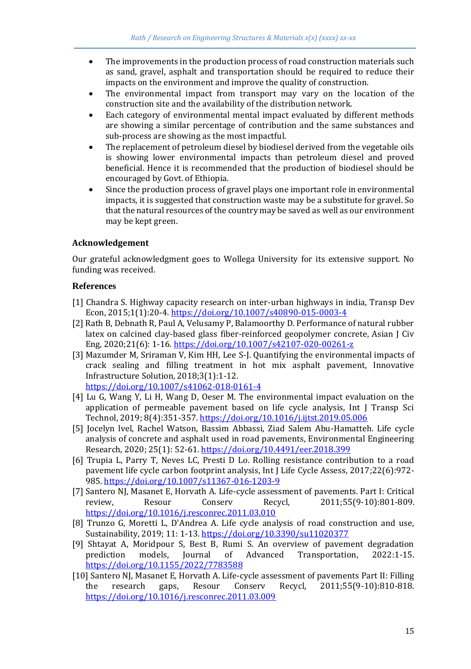- The improvements in the production process of road construction materials such as sand, gravel, asphalt and transportation should be required to reduce their impacts on the environment and improve the quality of construction.
- The environmental impact from transport may vary on the location of the construction site and the availability of the distribution network.
- Each category of environmental mental impact evaluated by different methods are showing a similar percentage of contribution and the same substances and sub-process are showing as the most impactful.
- The replacement of petroleum diesel by biodiesel derived from the vegetable oils is showing lower environmental impacts than petroleum diesel and proved beneficial. Hence it is recommended that the production of biodiesel should be encouraged by Govt. of Ethiopia.
- Since the production process of gravel plays one important role in environmental impacts, it is suggested that construction waste may be a substitute for gravel. So that the natural resources of the country may be saved as well as our environment may be kept green.

# **Acknowledgement**

Our grateful acknowledgment goes to Wollega University for its extensive support. No funding was received.

# **References**

- [1] Chandra S. Highway capacity research on inter-urban highways in india, Transp Dev Econ, 2015;1(1):20-4[. https://doi.org/10.1007/s40890-015-0003-4](https://doi.org/10.1007/s40890-015-0003-4)
- [2] Rath B, Debnath R, Paul A, Velusamy P, Balamoorthy D. Performance of natural rubber latex on calcined clay-based glass fiber-reinforced geopolymer concrete, Asian J Civ Eng, 2020;21(6): 1-16[. https://doi.org/10.1007/s42107-020-00261-z](https://doi.org/10.1007/s42107-020-00261-z)
- [3] Mazumder M, Sriraman V, Kim HH, Lee S-J. Quantifying the environmental impacts of crack sealing and filling treatment in hot mix asphalt pavement, Innovative Infrastructure Solution, 2018;3(1):1-12.

<https://doi.org/10.1007/s41062-018-0161-4>

- [4] Lu G, Wang Y, Li H, Wang D, Oeser M. The environmental impact evaluation on the application of permeable pavement based on life cycle analysis, Int J Transp Sci Technol, 2019; 8(4):351-357[. https://doi.org/10.1016/j.ijtst.2019.05.006](https://doi.org/10.1016/j.ijtst.2019.05.006)
- [5] Jocelyn lvel, Rachel Watson, Bassim Abbassi, Ziad Salem Abu-Hamatteh. Life cycle analysis of concrete and asphalt used in road pavements, Environmental Engineering Research, 2020; 25(1): 52-61[. https://doi.org/10.4491/eer.2018.399](https://doi.org/10.4491/eer.2018.399)
- [6] Trupia L, Parry T, Neves LC, Presti D Lo. Rolling resistance contribution to a road pavement life cycle carbon footprint analysis, Int J Life Cycle Assess, 2017;22(6):972- 985[. https://doi.org/10.1007/s11367-016-1203-9](https://doi.org/10.1007/s11367-016-1203-9)
- [7] Santero NJ, Masanet E, Horvath A. Life-cycle assessment of pavements. Part I: Critical review, Resour Conserv Recycl, 2011;55(9-10):801-809. <https://doi.org/10.1016/j.resconrec.2011.03.010>
- [8] Trunzo G, Moretti L, D'Andrea A. Life cycle analysis of road construction and use, Sustainability, 2019; 11: 1-13.<https://doi.org/10.3390/su11020377>
- [9] Shtayat A, Moridpour S, Best B, Rumi S. An overview of pavement degradation prediction models, Journal of Advanced Transportation, 2022:1-15. <https://doi.org/10.1155/2022/7783588>
- [10] Santero NJ, Masanet E, Horvath A. Life-cycle assessment of pavements Part II: Filling the research gaps, Resour Conserv Recycl, 2011;55(9-10):810-818. <https://doi.org/10.1016/j.resconrec.2011.03.009>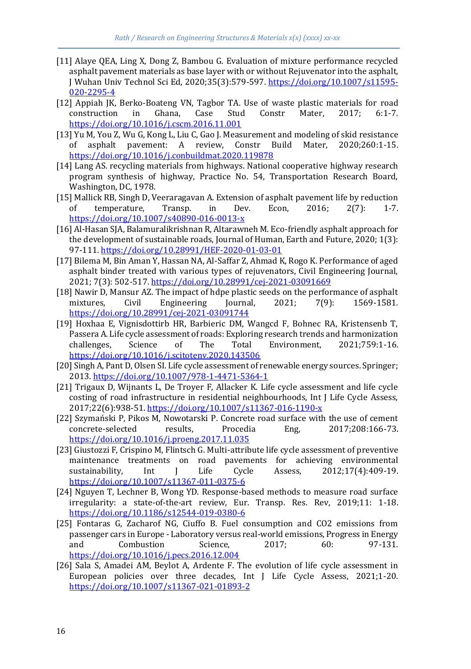- [11] Alaye QEA, Ling X, Dong Z, Bambou G. Evaluation of mixture performance recycled asphalt pavement materials as base layer with or without Rejuvenator into the asphalt, J Wuhan Univ Technol Sci Ed, 2020;35(3):579-597[. https://doi.org/10.1007/s11595-](https://doi.org/10.1007/s11595-020-2295-4) [020-2295-4](https://doi.org/10.1007/s11595-020-2295-4)
- [12] Appiah JK, Berko-Boateng VN, Tagbor TA. Use of waste plastic materials for road construction in Ghana, Case Stud Constr Mater, 2017; 6:1-7. <https://doi.org/10.1016/j.cscm.2016.11.001>
- [13] Yu M, You Z, Wu G, Kong L, Liu C, Gao J. Measurement and modeling of skid resistance of asphalt pavement: A review, Constr Build Mater, 2020;260:1-15. <https://doi.org/10.1016/j.conbuildmat.2020.119878>
- [14] Lang AS. recycling materials from highways. National cooperative highway research program synthesis of highway, Practice No. 54, Transportation Research Board, Washington, DC, 1978.
- [15] Mallick RB, Singh D, Veeraragavan A. Extension of asphalt pavement life by reduction of temperature, Transp. in Dev. Econ, 2016; 2(7): 1-7. <https://doi.org/10.1007/s40890-016-0013-x>
- [16] Al-Hasan SJA, Balamuralikrishnan R, Altarawneh M. Eco-friendly asphalt approach for the development of sustainable roads, Journal of Human, Earth and Future, 2020; 1(3): 97-111[. https://doi.org/10.28991/HEF-2020-01-03-01](https://doi.org/10.28991/HEF-2020-01-03-01)
- [17] Bilema M, Bin Aman Y, Hassan NA, Al-Saffar Z, Ahmad K, Rogo K. Performance of aged asphalt binder treated with various types of rejuvenators, Civil Engineering Journal, 2021; 7(3): 502-517[. https://doi.org/10.28991/cej-2021-03091669](https://doi.org/10.28991/cej-2021-03091669)
- [18] Nawir D, Mansur AZ. The impact of hdpe plastic seeds on the performance of asphalt mixtures, Civil Engineering Journal, 2021; 7(9): 1569-1581. <https://doi.org/10.28991/cej-2021-03091744>
- [19] Hoxhaa E, Vignisdottirb HR, Barbieric DM, Wangcd F, Bohnec RA, Kristensenb T, Passera A. Life cycle assessment of roads: Exploring research trends and harmonization challenges, Science of The Total Environment, 2021;759:1-16. <https://doi.org/10.1016/j.scitotenv.2020.143506>
- [20] Singh A, Pant D, Olsen SI. Life cycle assessment of renewable energy sources. Springer; 2013.<https://doi.org/10.1007/978-1-4471-5364-1>
- [21] Trigaux D, Wijnants L, De Troyer F, Allacker K. Life cycle assessment and life cycle costing of road infrastructure in residential neighbourhoods, Int J Life Cycle Assess, 2017;22(6):938-51[. https://doi.org/10.1007/s11367-016-1190-x](https://doi.org/10.1007/s11367-016-1190-x)
- [22] Szymański P, Pikos M, Nowotarski P. Concrete road surface with the use of cement concrete-selected results, Procedia Eng, 2017;208:166-73. <https://doi.org/10.1016/j.proeng.2017.11.035>
- [23] Giustozzi F, Crispino M, Flintsch G. Multi-attribute life cycle assessment of preventive maintenance treatments on road pavements for achieving environmental sustainability, Int J Life Cycle Assess, 2012;17(4):409-19. <https://doi.org/10.1007/s11367-011-0375-6>
- [24] Nguyen T, Lechner B, Wong YD. Response-based methods to measure road surface irregularity: a state-of-the-art review, Eur. Transp. Res. Rev, 2019;11: 1-18. <https://doi.org/10.1186/s12544-019-0380-6>
- [25] Fontaras G, Zacharof NG, Ciuffo B. Fuel consumption and CO2 emissions from passenger cars in Europe - Laboratory versus real-world emissions, Progress in Energy and Combustion Science, 2017; 60: 97-131. <https://doi.org/10.1016/j.pecs.2016.12.004>
- [26] Sala S, Amadei AM, Beylot A, Ardente F. The evolution of life cycle assessment in European policies over three decades, Int J Life Cycle Assess, 2021;1-20. <https://doi.org/10.1007/s11367-021-01893-2>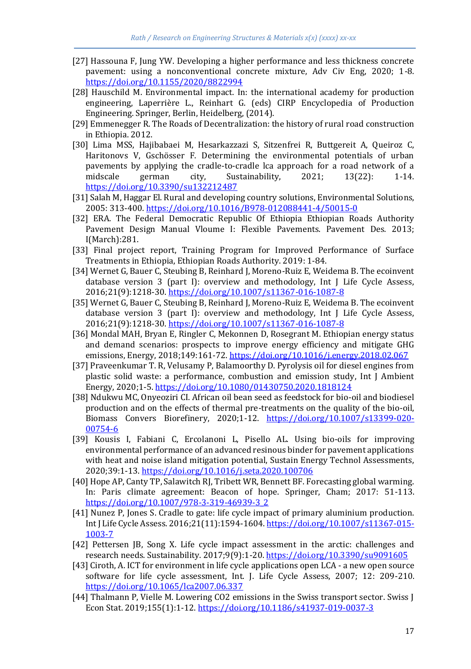- [27] Hassouna F, Jung YW. Developing a higher performance and less thickness concrete pavement: using a nonconventional concrete mixture, Adv Civ Eng, 2020; 1-8. <https://doi.org/10.1155/2020/8822994>
- [28] Hauschild M. Environmental impact. In: the international academy for production engineering, Laperrière L., Reinhart G. (eds) CIRP Encyclopedia of Production Engineering. Springer, Berlin, Heidelberg, (2014).
- [29] Emmenegger R. The Roads of Decentralization: the history of rural road construction in Ethiopia. 2012.
- [30] Lima MSS, Hajibabaei M, Hesarkazzazi S, Sitzenfrei R, Buttgereit A, Queiroz C, Haritonovs V, Gschösser F. Determining the environmental potentials of urban pavements by applying the cradle-to-cradle lca approach for a road network of a midscale german city, Sustainability, 2021; 13(22): 1-14. <https://doi.org/10.3390/su132212487>
- [31] Salah M, Haggar El. Rural and developing country solutions, Environmental Solutions, 2005: 313-400[. https://doi.org/10.1016/B978-012088441-4/50015-0](https://doi.org/10.1016/B978-012088441-4/50015-0)
- [32] ERA. The Federal Democratic Republic Of Ethiopia Ethiopian Roads Authority Pavement Design Manual Vloume I: Flexible Pavements. Pavement Des. 2013; I(March):281.
- [33] Final project report, Training Program for Improved Performance of Surface Treatments in Ethiopia, Ethiopian Roads Authority. 2019: 1-84.
- [34] Wernet G, Bauer C, Steubing B, Reinhard J, Moreno-Ruiz E, Weidema B. The ecoinvent database version 3 (part I): overview and methodology, Int J Life Cycle Assess, 2016;21(9):1218-30[. https://doi.org/10.1007/s11367-016-1087-8](https://doi.org/10.1007/s11367-016-1087-8)
- [35] Wernet G, Bauer C, Steubing B, Reinhard J, Moreno-Ruiz E, Weidema B. The ecoinvent database version 3 (part I): overview and methodology, Int J Life Cycle Assess, 2016;21(9):1218-30[. https://doi.org/10.1007/s11367-016-1087-8](https://doi.org/10.1007/s11367-016-1087-8)
- [36] Mondal MAH, Bryan E, Ringler C, Mekonnen D, Rosegrant M. Ethiopian energy status and demand scenarios: prospects to improve energy efficiency and mitigate GHG emissions, Energy, 2018;149:161-72[. https://doi.org/10.1016/j.energy.2018.02.067](https://doi.org/10.1016/j.energy.2018.02.067)
- [37] Praveenkumar T. R, Velusamy P, Balamoorthy D. Pyrolysis oil for diesel engines from plastic solid waste: a performance, combustion and emission study, Int J Ambient Energy, 2020;1-5.<https://doi.org/10.1080/01430750.2020.1818124>
- [38] Ndukwu MC, Onyeoziri CI. African oil bean seed as feedstock for bio-oil and biodiesel production and on the effects of thermal pre-treatments on the quality of the bio-oil, Biomass Convers Biorefinery, 2020;1-12. [https://doi.org/10.1007/s13399-020-](https://doi.org/10.1007/s13399-020-00754-6) [00754-6](https://doi.org/10.1007/s13399-020-00754-6)
- [39] Kousis I, Fabiani C, Ercolanoni L, Pisello AL. Using bio-oils for improving environmental performance of an advanced resinous binder for pavement applications with heat and noise island mitigation potential, Sustain Energy Technol Assessments, 2020;39:1-13[. https://doi.org/10.1016/j.seta.2020.100706](https://doi.org/10.1016/j.seta.2020.100706)
- [40] Hope AP, Canty TP, Salawitch RJ, Tribett WR, Bennett BF. Forecasting global warming. In: Paris climate agreement: Beacon of hope. Springer, Cham; 2017: 51-113. [https://doi.org/10.1007/978-3-319-46939-3\\_2](https://doi.org/10.1007/978-3-319-46939-3_2)
- [41] Nunez P, Jones S. Cradle to gate: life cycle impact of primary aluminium production. Int J Life Cycle Assess. 2016;21(11):1594-1604[. https://doi.org/10.1007/s11367-015-](https://doi.org/10.1007/s11367-015-1003-7) [1003-7](https://doi.org/10.1007/s11367-015-1003-7)
- [42] Pettersen JB, Song X. Life cycle impact assessment in the arctic: challenges and research needs. Sustainability. 2017;9(9):1-20[. https://doi.org/10.3390/su9091605](https://doi.org/10.3390/su9091605)
- [43] Ciroth, A. ICT for environment in life cycle applications open LCA a new open source software for life cycle assessment, Int. J. Life Cycle Assess, 2007; 12: 209-210. <https://doi.org/10.1065/lca2007.06.337>
- [44] Thalmann P, Vielle M. Lowering CO2 emissions in the Swiss transport sector. Swiss J Econ Stat. 2019;155(1):1-12.<https://doi.org/10.1186/s41937-019-0037-3>